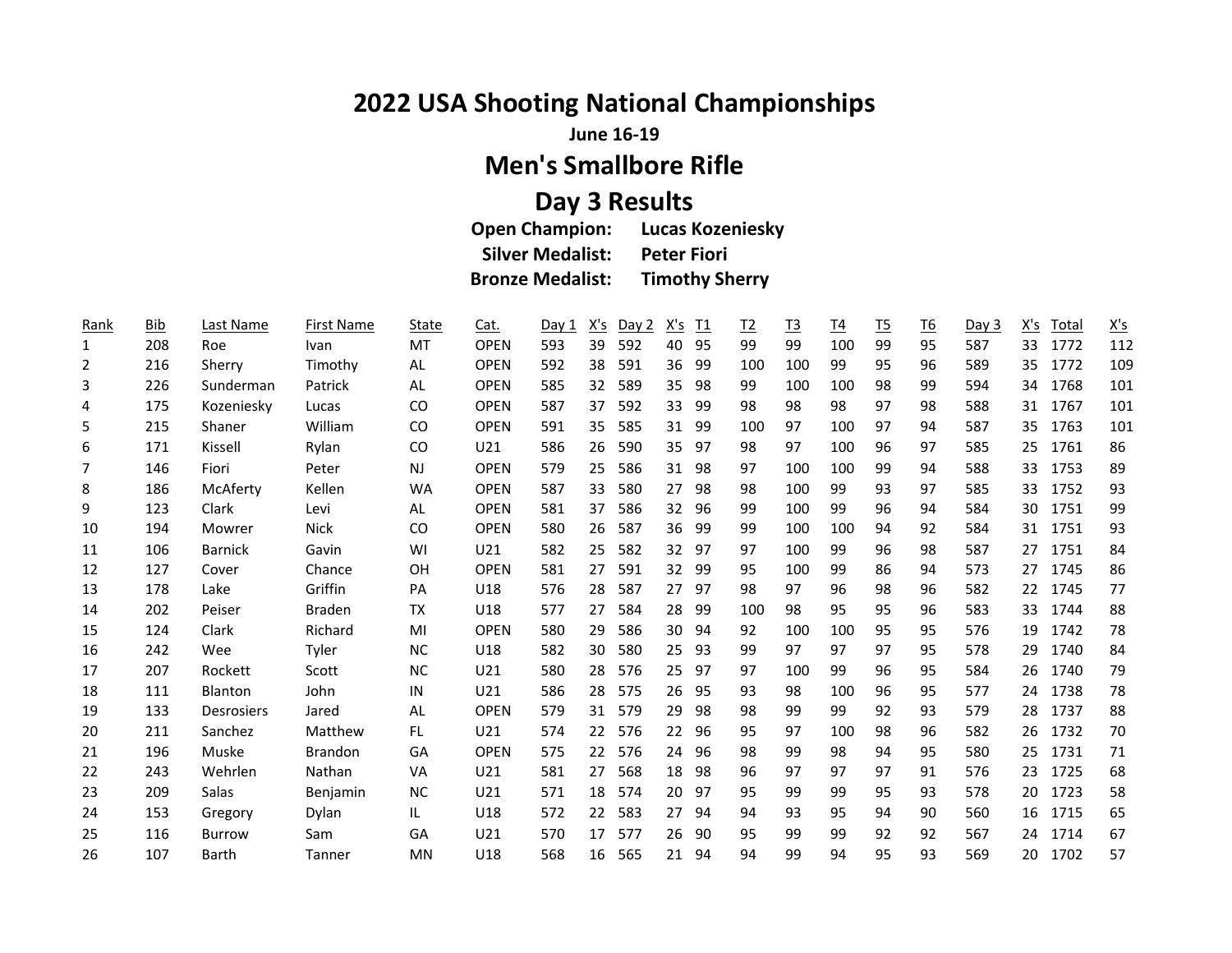## **2022 USA Shooting National Championships**

**June 16-19**

## **Men's Smallbore Rifle**

## **Day 3 Results**

| <b>Open Champion:</b>   | <b>Lucas Kozeniesky</b> |
|-------------------------|-------------------------|
| <b>Silver Medalist:</b> | <b>Peter Fiori</b>      |
| <b>Bronze Medalist:</b> | <b>Timothy Sherry</b>   |

| Rank         | <b>Bib</b> | Last Name         | <b>First Name</b> | State     | Cat.        | Day 1 | <u>X's</u>        | Day 2 | <u>X's</u>        | <u>I1</u> | $\underline{12}$ | <u>T3</u> | <u>T4</u> | <u>T5</u> | <u>T6</u> | Day 3 | X's | Total | $\underline{X's}$ |
|--------------|------------|-------------------|-------------------|-----------|-------------|-------|-------------------|-------|-------------------|-----------|------------------|-----------|-----------|-----------|-----------|-------|-----|-------|-------------------|
| $\mathbf{1}$ | 208        | Roe               | Ivan              | MT        | <b>OPEN</b> | 593   | 39                | 592   | 40                | 95        | 99               | 99        | 100       | 99        | 95        | 587   | 33  | 1772  | 112               |
| 2            | 216        | Sherry            | Timothy           | AL        | <b>OPEN</b> | 592   | 38                | 591   | 36                | 99        | 100              | 100       | 99        | 95        | 96        | 589   | 35  | 1772  | 109               |
| 3            | 226        | Sunderman         | Patrick           | AL        | <b>OPEN</b> | 585   | 32                | 589   | 35                | -98       | 99               | 100       | 100       | 98        | 99        | 594   | 34  | 1768  | 101               |
| 4            | 175        | Kozeniesky        | Lucas             | CO        | <b>OPEN</b> | 587   | 37                | 592   | 33                | 99        | 98               | 98        | 98        | 97        | 98        | 588   | 31  | 1767  | 101               |
| 5            | 215        | Shaner            | William           | CO        | <b>OPEN</b> | 591   | 35                | 585   | 31                | 99        | 100              | 97        | 100       | 97        | 94        | 587   | 35  | 1763  | 101               |
| 6            | 171        | Kissell           | Rylan             | CO        | U21         | 586   | 26                | 590   | 35                | 97        | 98               | 97        | 100       | 96        | 97        | 585   | 25  | 1761  | 86                |
| 7            | 146        | Fiori             | Peter             | NJ.       | <b>OPEN</b> | 579   | 25                | 586   | 31                | -98       | 97               | 100       | 100       | 99        | 94        | 588   | 33  | 1753  | 89                |
| 8            | 186        | McAferty          | Kellen            | <b>WA</b> | <b>OPEN</b> | 587   | 33                | 580   | 27                | -98       | 98               | 100       | 99        | 93        | 97        | 585   | 33  | 1752  | 93                |
| 9            | 123        | Clark             | Levi              | AL        | <b>OPEN</b> | 581   | 37                | 586   | 32                | 96        | 99               | 100       | 99        | 96        | 94        | 584   | 30  | 1751  | 99                |
| 10           | 194        | Mowrer            | Nick              | CO        | <b>OPEN</b> | 580   | 26                | 587   | 36                | -99       | 99               | 100       | 100       | 94        | 92        | 584   | 31  | 1751  | 93                |
| 11           | 106        | <b>Barnick</b>    | Gavin             | WI        | U21         | 582   | 25                | 582   | 32                | -97       | 97               | 100       | 99        | 96        | 98        | 587   | 27  | 1751  | 84                |
| 12           | 127        | Cover             | Chance            | <b>OH</b> | <b>OPEN</b> | 581   | 27                | 591   | 32                | -99       | 95               | 100       | 99        | 86        | 94        | 573   | 27  | 1745  | 86                |
| 13           | 178        | Lake              | Griffin           | PA        | U18         | 576   | 28                | 587   | 27                | -97       | 98               | 97        | 96        | 98        | 96        | 582   | 22  | 1745  | 77                |
| 14           | 202        | Peiser            | <b>Braden</b>     | TX        | U18         | 577   | 27                | 584   | 28                | 99        | 100              | 98        | 95        | 95        | 96        | 583   | 33  | 1744  | 88                |
| 15           | 124        | Clark             | Richard           | MI        | <b>OPEN</b> | 580   | 29                | 586   | 30                | 94        | 92               | 100       | 100       | 95        | 95        | 576   | 19  | 1742  | 78                |
| 16           | 242        | Wee               | Tyler             | <b>NC</b> | U18         | 582   | 30                | 580   | 25                | 93        | 99               | 97        | 97        | 97        | 95        | 578   | 29  | 1740  | 84                |
| 17           | 207        | Rockett           | Scott             | <b>NC</b> | U21         | 580   | 28                | 576   | 25                | 97        | 97               | 100       | 99        | 96        | 95        | 584   | 26  | 1740  | 79                |
| 18           | 111        | Blanton           | John              | IN        | U21         | 586   | 28                | 575   | 26                | -95       | 93               | 98        | 100       | 96        | 95        | 577   | 24  | 1738  | 78                |
| 19           | 133        | <b>Desrosiers</b> | Jared             | AL        | <b>OPEN</b> | 579   | 31                | 579   | 29                | 98        | 98               | 99        | 99        | 92        | 93        | 579   | 28  | 1737  | 88                |
| 20           | 211        | Sanchez           | Matthew           | FL.       | U21         | 574   | $22 \overline{ }$ | 576   | $22 \overline{ }$ | -96       | 95               | 97        | 100       | 98        | 96        | 582   | 26  | 1732  | 70                |
| 21           | 196        | Muske             | Brandon           | GA        | <b>OPEN</b> | 575   | 22                | 576   | 24                | 96        | 98               | 99        | 98        | 94        | 95        | 580   | 25  | 1731  | $71\,$            |
| 22           | 243        | Wehrlen           | Nathan            | VA        | U21         | 581   | 27                | 568   | 18                | 98        | 96               | 97        | 97        | 97        | 91        | 576   | 23  | 1725  | 68                |
| 23           | 209        | Salas             | Benjamin          | <b>NC</b> | U21         | 571   | 18                | 574   | 20                | -97       | 95               | 99        | 99        | 95        | 93        | 578   | 20  | 1723  | 58                |
| 24           | 153        | Gregory           | Dylan             | IL        | U18         | 572   | 22                | 583   | 27                | 94        | 94               | 93        | 95        | 94        | 90        | 560   | 16  | 1715  | 65                |
| 25           | 116        | <b>Burrow</b>     | Sam               | GA        | U21         | 570   | 17                | 577   | 26                | 90        | 95               | 99        | 99        | 92        | 92        | 567   | 24  | 1714  | 67                |
| 26           | 107        | Barth             | Tanner            | MN        | U18         | 568   | 16                | 565   | 21                | -94       | 94               | 99        | 94        | 95        | 93        | 569   | 20  | 1702  | 57                |